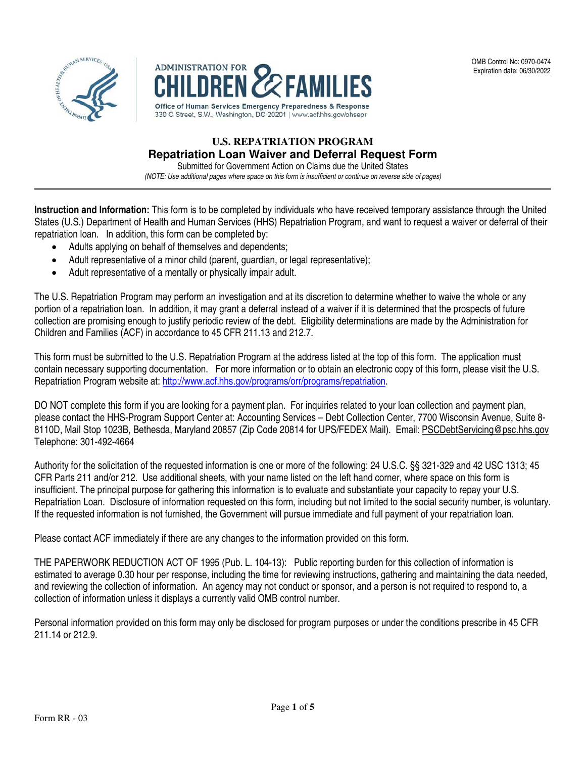



# **U.S. REPATRIATION PROGRAM Repatriation Loan Waiver and Deferral Request Form**

Submitted for Government Action on Claims due the United States (NOTE: Use additional pages where space on this form is insufficient or continue on reverse side of pages)

**Instruction and Information:** This form is to be completed by individuals who have received temporary assistance through the United States (U.S.) Department of Health and Human Services (HHS) Repatriation Program, and want to request a waiver or deferral of their repatriation loan. In addition, this form can be completed by:

- Adults applying on behalf of themselves and dependents;
- Adult representative of a minor child (parent, guardian, or legal representative);
- Adult representative of a mentally or physically impair adult.

The U.S. Repatriation Program may perform an investigation and at its discretion to determine whether to waive the whole or any portion of a repatriation loan. In addition, it may grant a deferral instead of a waiver if it is determined that the prospects of future collection are promising enough to justify periodic review of the debt. Eligibility determinations are made by the Administration for Children and Families (ACF) in accordance to 45 CFR 211.13 and 212.7.

This form must be submitted to the U.S. Repatriation Program at the address listed at the top of this form. The application must contain necessary supporting documentation. For more information or to obtain an electronic copy of this form, please visit the U.S. Repatriation Program website at: [http://www.acf.hhs.gov/programs/orr/programs/repatriation.](http://www.acf.hhs.gov/programs/orr/programs/repatriation)

DO NOT complete this form if you are looking for a payment plan. For inquiries related to your loan collection and payment plan, please contact the HHS-Program Support Center at: Accounting Services – Debt Collection Center, 7700 Wisconsin Avenue, Suite 8- 8110D, Mail Stop 1023B, Bethesda, Maryland 20857 (Zip Code 20814 for UPS/FEDEX Mail). Email: [PSCDebtServicing@psc.hhs.gov](mailto:PSCDebtServicing@psc.hhs.gov) Telephone: 301-492-4664

Authority for the solicitation of the requested information is one or more of the following: 24 U.S.C. §§ 321-329 and 42 USC 1313; 45 CFR Parts 211 and/or 212. Use additional sheets, with your name listed on the left hand corner, where space on this form is insufficient. The principal purpose for gathering this information is to evaluate and substantiate your capacity to repay your U.S. Repatriation Loan. Disclosure of information requested on this form, including but not limited to the social security number, is voluntary. If the requested information is not furnished, the Government will pursue immediate and full payment of your repatriation loan.

Please contact ACF immediately if there are any changes to the information provided on this form.

THE PAPERWORK REDUCTION ACT OF 1995 (Pub. L. 104-13): Public reporting burden for this collection of information is estimated to average 0.30 hour per response, including the time for reviewing instructions, gathering and maintaining the data needed, and reviewing the collection of information. An agency may not conduct or sponsor, and a person is not required to respond to, a collection of information unless it displays a currently valid OMB control number.

Personal information provided on this form may only be disclosed for program purposes or under the conditions prescribe in 45 CFR 211.14 or 212.9.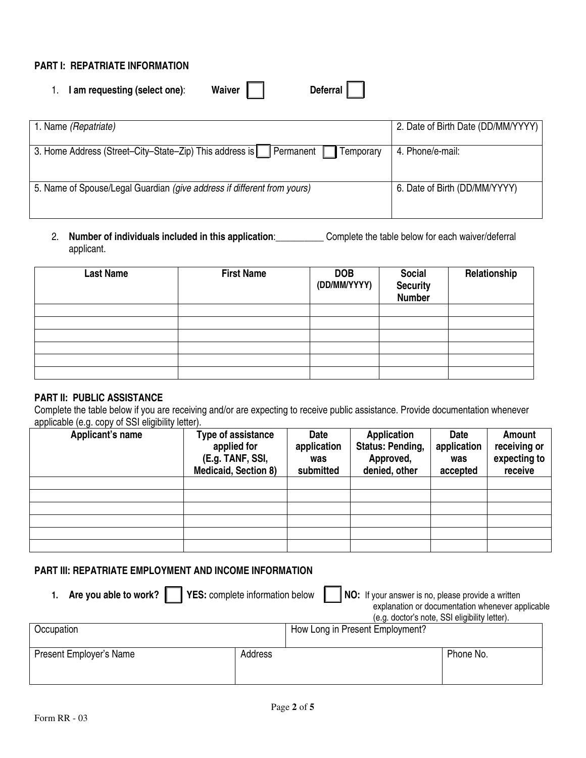## **PART I: REPATRIATE INFORMATION**

| Waiver<br><b>Deferral</b><br>I am requesting (select one):                       |                                    |
|----------------------------------------------------------------------------------|------------------------------------|
| 1. Name (Repatriate)                                                             | 2. Date of Birth Date (DD/MM/YYYY) |
| 3. Home Address (Street-City-State-Zip) This address is   Permanent<br>Temporary | 4. Phone/e-mail:                   |
| 5. Name of Spouse/Legal Guardian (give address if different from yours)          | 6. Date of Birth (DD/MM/YYYY)      |

2. **Number of individuals included in this application**:\_\_\_\_\_\_\_\_\_\_ Complete the table below for each waiver/deferral applicant.

| <b>Last Name</b> | <b>First Name</b> | <b>DOB</b><br>(DD/MM/YYYY) | <b>Social</b><br><b>Security</b><br>Number | Relationship |
|------------------|-------------------|----------------------------|--------------------------------------------|--------------|
|                  |                   |                            |                                            |              |
|                  |                   |                            |                                            |              |
|                  |                   |                            |                                            |              |
|                  |                   |                            |                                            |              |
|                  |                   |                            |                                            |              |
|                  |                   |                            |                                            |              |

### **PART II: PUBLIC ASSISTANCE**

Complete the table below if you are receiving and/or are expecting to receive public assistance. Provide documentation whenever applicable (e.g. copy of SSI eligibility letter).

| Applicant's name | Type of assistance<br>applied for<br>(E.g. TANF, SSI,<br><b>Medicaid, Section 8)</b> | Date<br>application<br>was<br>submitted | <b>Application</b><br><b>Status: Pending,</b><br>Approved,<br>denied, other | <b>Date</b><br>application<br>was<br>accepted | <b>Amount</b><br>receiving or<br>expecting to<br>receive |
|------------------|--------------------------------------------------------------------------------------|-----------------------------------------|-----------------------------------------------------------------------------|-----------------------------------------------|----------------------------------------------------------|
|                  |                                                                                      |                                         |                                                                             |                                               |                                                          |
|                  |                                                                                      |                                         |                                                                             |                                               |                                                          |
|                  |                                                                                      |                                         |                                                                             |                                               |                                                          |
|                  |                                                                                      |                                         |                                                                             |                                               |                                                          |
|                  |                                                                                      |                                         |                                                                             |                                               |                                                          |
|                  |                                                                                      |                                         |                                                                             |                                               |                                                          |

## **PART III: REPATRIATE EMPLOYMENT AND INCOME INFORMATION**

| Are you able to work? $\ $<br>YES: complete information below<br><b>NO:</b> If your answer is no, please provide a written<br>explanation or documentation whenever applicable<br>(e.g. doctor's note, SSI eligibility letter). |         |                                 |  |  |
|---------------------------------------------------------------------------------------------------------------------------------------------------------------------------------------------------------------------------------|---------|---------------------------------|--|--|
| Occupation                                                                                                                                                                                                                      |         | How Long in Present Employment? |  |  |
| Present Employer's Name                                                                                                                                                                                                         | Address | Phone No.                       |  |  |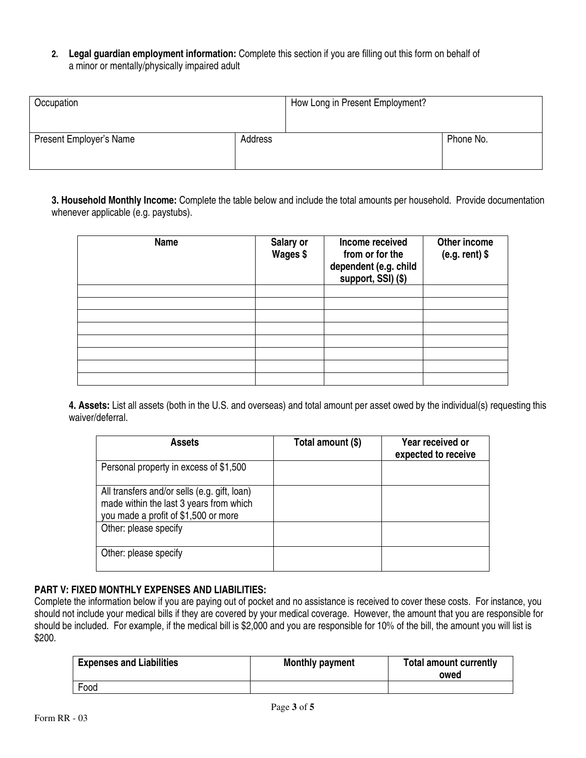**2. Legal guardian employment information:** Complete this section if you are filling out this form on behalf of a minor or mentally/physically impaired adult

| Occupation              |         | How Long in Present Employment? |           |
|-------------------------|---------|---------------------------------|-----------|
| Present Employer's Name | Address |                                 | Phone No. |

**3. Household Monthly Income:** Complete the table below and include the total amounts per household. Provide documentation whenever applicable (e.g. paystubs).

| <b>Name</b> | Salary or<br>Wages \$ | Income received<br>from or for the<br>dependent (e.g. child<br>support, SSI) (\$) | Other income<br>$(e.g. rent)$ \$ |
|-------------|-----------------------|-----------------------------------------------------------------------------------|----------------------------------|
|             |                       |                                                                                   |                                  |
|             |                       |                                                                                   |                                  |
|             |                       |                                                                                   |                                  |
|             |                       |                                                                                   |                                  |
|             |                       |                                                                                   |                                  |
|             |                       |                                                                                   |                                  |
|             |                       |                                                                                   |                                  |
|             |                       |                                                                                   |                                  |

**4. Assets:** List all assets (both in the U.S. and overseas) and total amount per asset owed by the individual(s) requesting this waiver/deferral.

| <b>Assets</b>                                                                                                                   | Total amount (\$) | <b>Year received or</b><br>expected to receive |
|---------------------------------------------------------------------------------------------------------------------------------|-------------------|------------------------------------------------|
| Personal property in excess of \$1,500                                                                                          |                   |                                                |
| All transfers and/or sells (e.g. gift, loan)<br>made within the last 3 years from which<br>you made a profit of \$1,500 or more |                   |                                                |
| Other: please specify                                                                                                           |                   |                                                |
| Other: please specify                                                                                                           |                   |                                                |

### **PART V: FIXED MONTHLY EXPENSES AND LIABILITIES:**

Complete the information below if you are paying out of pocket and no assistance is received to cover these costs. For instance, you should not include your medical bills if they are covered by your medical coverage. However, the amount that you are responsible for should be included. For example, if the medical bill is \$2,000 and you are responsible for 10% of the bill, the amount you will list is \$200.

| <b>Expenses and Liabilities</b> | <b>Monthly payment</b> | <b>Total amount currently</b><br>owed |
|---------------------------------|------------------------|---------------------------------------|
| Food                            |                        |                                       |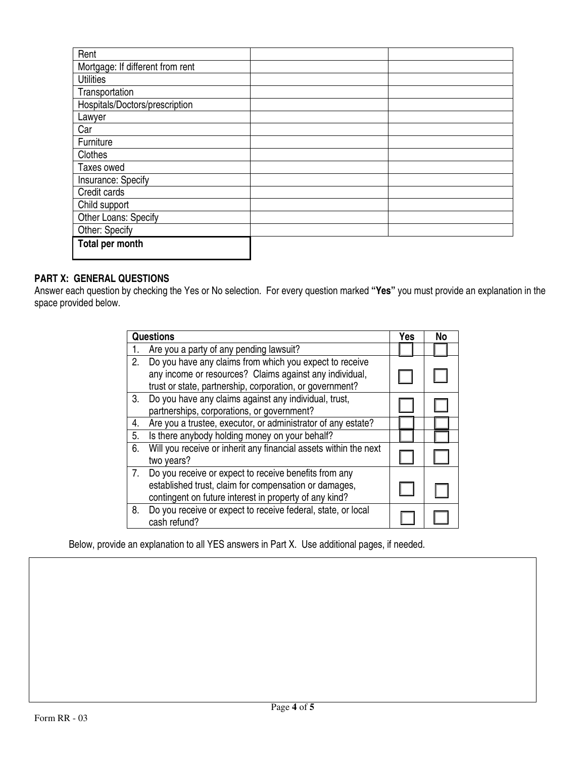| Rent                             |  |
|----------------------------------|--|
| Mortgage: If different from rent |  |
| <b>Utilities</b>                 |  |
| Transportation                   |  |
| Hospitals/Doctors/prescription   |  |
| Lawyer                           |  |
| Car                              |  |
| Furniture                        |  |
| Clothes                          |  |
| Taxes owed                       |  |
| Insurance: Specify               |  |
| Credit cards                     |  |
| Child support                    |  |
| Other Loans: Specify             |  |
| Other: Specify                   |  |
| Total per month                  |  |

# **PART X: GENERAL QUESTIONS**

Answer each question by checking the Yes or No selection. For every question marked **"Yes"** you must provide an explanation in the space provided below.

|             | <b>Questions</b>                                                                                                                                                               | Yes | No |
|-------------|--------------------------------------------------------------------------------------------------------------------------------------------------------------------------------|-----|----|
|             | Are you a party of any pending lawsuit?                                                                                                                                        |     |    |
| 2.          | Do you have any claims from which you expect to receive<br>any income or resources? Claims against any individual,<br>trust or state, partnership, corporation, or government? |     |    |
| 3.          | Do you have any claims against any individual, trust,<br>partnerships, corporations, or government?                                                                            |     |    |
| 4.          | Are you a trustee, executor, or administrator of any estate?                                                                                                                   |     |    |
| 5.          | Is there anybody holding money on your behalf?                                                                                                                                 |     |    |
| 6.          | Will you receive or inherit any financial assets within the next<br>two years?                                                                                                 |     |    |
| $7_{\cdot}$ | Do you receive or expect to receive benefits from any<br>established trust, claim for compensation or damages,<br>contingent on future interest in property of any kind?       |     |    |
| 8.          | Do you receive or expect to receive federal, state, or local<br>cash refund?                                                                                                   |     |    |

Below, provide an explanation to all YES answers in Part X. Use additional pages, if needed.